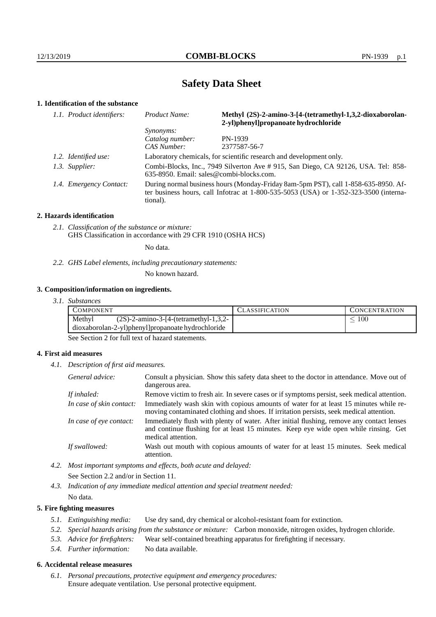# **Safety Data Sheet**

## **1. Identification of the substance**

| 1.1. Product identifiers: | Methyl (2S)-2-amino-3-[4-(tetramethyl-1,3,2-dioxaborolan-<br>Product Name:<br>2-yl)phenyl]propanoate hydrochloride                                                                          |                                                                                   |
|---------------------------|---------------------------------------------------------------------------------------------------------------------------------------------------------------------------------------------|-----------------------------------------------------------------------------------|
|                           | <i>Synonyms:</i>                                                                                                                                                                            |                                                                                   |
|                           | Catalog number:                                                                                                                                                                             | PN-1939                                                                           |
|                           | <b>CAS Number:</b>                                                                                                                                                                          | 2377587-56-7                                                                      |
| 1.2. Identified use:      |                                                                                                                                                                                             | Laboratory chemicals, for scientific research and development only.               |
| 1.3. Supplier:            | $635-8950$ . Email: sales@combi-blocks.com.                                                                                                                                                 | Combi-Blocks, Inc., 7949 Silverton Ave # 915, San Diego, CA 92126, USA. Tel: 858- |
| 1.4. Emergency Contact:   | During normal business hours (Monday-Friday 8am-5pm PST), call 1-858-635-8950. Af-<br>ter business hours, call Infotrac at $1-800-535-5053$ (USA) or $1-352-323-3500$ (interna-<br>tional). |                                                                                   |

#### **2. Hazards identification**

*2.1. Classification of the substance or mixture:* GHS Classification in accordance with 29 CFR 1910 (OSHA HCS)

No data.

*2.2. GHS Label elements, including precautionary statements:*

No known hazard.

#### **3. Composition/information on ingredients.**

*3.1. Substances*

| COMPONENT |                                                   | LASSIFICATION | CONCENTRATION |
|-----------|---------------------------------------------------|---------------|---------------|
| Methyl    | $(2S)$ -2-amino-3-[4-(tetramethyl-1,3,2-          |               | 100           |
|           | dioxaborolan-2-yl)phenyl]propanoate hydrochloride |               |               |
| - - -     | $\sim$ $\sim$ $\sim$ $\sim$                       |               |               |

See Section 2 for full text of hazard statements.

#### **4. First aid measures**

*4.1. Description of first aid measures.*

| General advice:          | Consult a physician. Show this safety data sheet to the doctor in attendance. Move out of<br>dangerous area.                                                                                            |
|--------------------------|---------------------------------------------------------------------------------------------------------------------------------------------------------------------------------------------------------|
| If inhaled:              | Remove victim to fresh air. In severe cases or if symptoms persist, seek medical attention.                                                                                                             |
| In case of skin contact: | Immediately wash skin with copious amounts of water for at least 15 minutes while re-<br>moving contaminated clothing and shoes. If irritation persists, seek medical attention.                        |
| In case of eye contact:  | Immediately flush with plenty of water. After initial flushing, remove any contact lenses<br>and continue flushing for at least 15 minutes. Keep eye wide open while rinsing. Get<br>medical attention. |
| If swallowed:            | Wash out mouth with copious amounts of water for at least 15 minutes. Seek medical<br>attention.                                                                                                        |

- *4.2. Most important symptoms and effects, both acute and delayed:* See Section 2.2 and/or in Section 11.
- *4.3. Indication of any immediate medical attention and special treatment needed:* No data.

### **5. Fire fighting measures**

- *5.1. Extinguishing media:* Use dry sand, dry chemical or alcohol-resistant foam for extinction.
- *5.2. Special hazards arising from the substance or mixture:* Carbon monoxide, nitrogen oxides, hydrogen chloride.
- *5.3. Advice for firefighters:* Wear self-contained breathing apparatus for firefighting if necessary.
- *5.4. Further information:* No data available.

## **6. Accidental release measures**

*6.1. Personal precautions, protective equipment and emergency procedures:* Ensure adequate ventilation. Use personal protective equipment.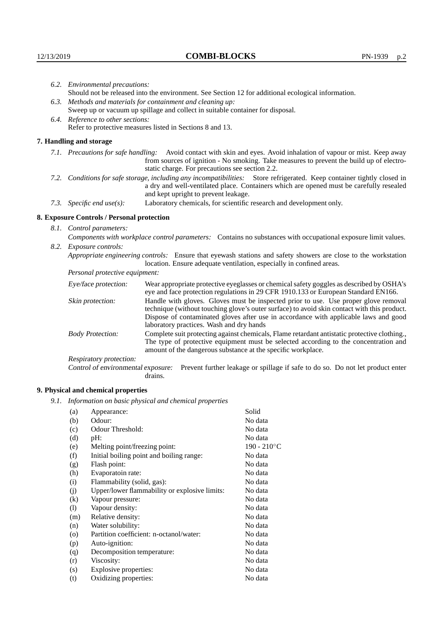|      | 6.2. Environmental precautions:                                                                                                                                                                                                                       |                                                                                                                                                                                                                                                                    |  |  |  |
|------|-------------------------------------------------------------------------------------------------------------------------------------------------------------------------------------------------------------------------------------------------------|--------------------------------------------------------------------------------------------------------------------------------------------------------------------------------------------------------------------------------------------------------------------|--|--|--|
|      | Should not be released into the environment. See Section 12 for additional ecological information.                                                                                                                                                    |                                                                                                                                                                                                                                                                    |  |  |  |
|      | 6.3. Methods and materials for containment and cleaning up:                                                                                                                                                                                           |                                                                                                                                                                                                                                                                    |  |  |  |
|      | Sweep up or vacuum up spillage and collect in suitable container for disposal.                                                                                                                                                                        |                                                                                                                                                                                                                                                                    |  |  |  |
|      |                                                                                                                                                                                                                                                       |                                                                                                                                                                                                                                                                    |  |  |  |
|      | 6.4. Reference to other sections:<br>Refer to protective measures listed in Sections 8 and 13.                                                                                                                                                        |                                                                                                                                                                                                                                                                    |  |  |  |
|      | 7. Handling and storage                                                                                                                                                                                                                               |                                                                                                                                                                                                                                                                    |  |  |  |
|      |                                                                                                                                                                                                                                                       | 7.1. Precautions for safe handling: Avoid contact with skin and eyes. Avoid inhalation of vapour or mist. Keep away<br>from sources of ignition - No smoking. Take measures to prevent the build up of electro-<br>static charge. For precautions see section 2.2. |  |  |  |
| 7.2. | Conditions for safe storage, including any incompatibilities: Store refrigerated. Keep container tightly closed in<br>a dry and well-ventilated place. Containers which are opened must be carefully resealed<br>and kept upright to prevent leakage. |                                                                                                                                                                                                                                                                    |  |  |  |
|      | Laboratory chemicals, for scientific research and development only.<br>7.3. Specific end use(s):                                                                                                                                                      |                                                                                                                                                                                                                                                                    |  |  |  |
|      | 8. Exposure Controls / Personal protection                                                                                                                                                                                                            |                                                                                                                                                                                                                                                                    |  |  |  |
|      | 8.1. Control parameters:                                                                                                                                                                                                                              |                                                                                                                                                                                                                                                                    |  |  |  |
|      | Components with workplace control parameters: Contains no substances with occupational exposure limit values.                                                                                                                                         |                                                                                                                                                                                                                                                                    |  |  |  |
| 8.2. | Exposure controls:                                                                                                                                                                                                                                    |                                                                                                                                                                                                                                                                    |  |  |  |
|      |                                                                                                                                                                                                                                                       | Appropriate engineering controls: Ensure that eyewash stations and safety showers are close to the workstation<br>location. Ensure adequate ventilation, especially in confined areas.                                                                             |  |  |  |
|      | Personal protective equipment:                                                                                                                                                                                                                        |                                                                                                                                                                                                                                                                    |  |  |  |
|      | Eye/face protection:                                                                                                                                                                                                                                  | Wear appropriate protective eyeglasses or chemical safety goggles as described by OSHA's<br>eye and face protection regulations in 29 CFR 1910.133 or European Standard EN166.                                                                                     |  |  |  |
|      | Skin protection:                                                                                                                                                                                                                                      | Handle with gloves. Gloves must be inspected prior to use. Use proper glove removal<br>technique (without touching glove's outer surface) to avoid skin contact with this product.                                                                                 |  |  |  |

Dispose of contaminated gloves after use in accordance with applicable laws and good laboratory practices. Wash and dry hands Body Protection: Complete suit protecting against chemicals, Flame retardant antistatic protective clothing., The type of protective equipment must be selected according to the concentration and

amount of the dangerous substance at the specific workplace.

Respiratory protection:

Control of environmental exposure: Prevent further leakage or spillage if safe to do so. Do not let product enter drains.

## **9. Physical and chemical properties**

*9.1. Information on basic physical and chemical properties*

| (a)     | Appearance:                                   | Solid          |
|---------|-----------------------------------------------|----------------|
| (b)     | Odour:                                        | No data        |
| (c)     | Odour Threshold:                              | No data        |
| (d)     | $pH$ :                                        | No data        |
| (e)     | Melting point/freezing point:                 | $190 - 210$ °C |
| (f)     | Initial boiling point and boiling range:      | No data        |
| (g)     | Flash point:                                  | No data        |
| (h)     | Evaporatoin rate:                             | No data        |
| (i)     | Flammability (solid, gas):                    | No data        |
| (j)     | Upper/lower flammability or explosive limits: | No data        |
| (k)     | Vapour pressure:                              | No data        |
| (1)     | Vapour density:                               | No data        |
| (m)     | Relative density:                             | No data        |
| (n)     | Water solubility:                             | No data        |
| $\circ$ | Partition coefficient: n-octanol/water:       | No data        |
| (p)     | Auto-ignition:                                | No data        |
| (q)     | Decomposition temperature:                    | No data        |
| (r)     | Viscosity:                                    | No data        |
| (s)     | Explosive properties:                         | No data        |
| (t)     | Oxidizing properties:                         | No data        |
|         |                                               |                |